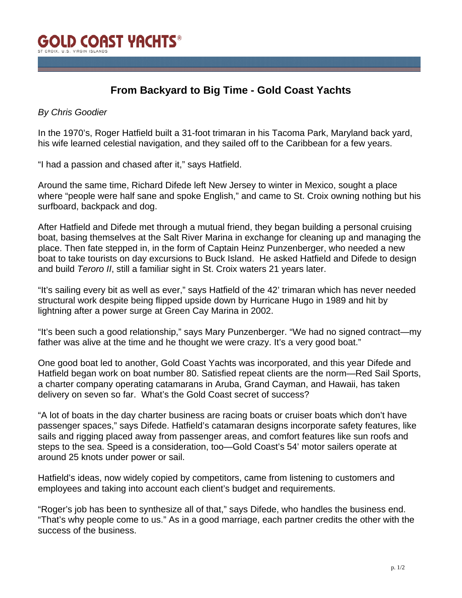## **From Backyard to Big Time - Gold Coast Yachts**

## *By Chris Goodier*

In the 1970's, Roger Hatfield built a 31-foot trimaran in his Tacoma Park, Maryland back yard, his wife learned celestial navigation, and they sailed off to the Caribbean for a few years.

"I had a passion and chased after it," says Hatfield.

Around the same time, Richard Difede left New Jersey to winter in Mexico, sought a place where "people were half sane and spoke English," and came to St. Croix owning nothing but his surfboard, backpack and dog.

After Hatfield and Difede met through a mutual friend, they began building a personal cruising boat, basing themselves at the Salt River Marina in exchange for cleaning up and managing the place. Then fate stepped in, in the form of Captain Heinz Punzenberger, who needed a new boat to take tourists on day excursions to Buck Island. He asked Hatfield and Difede to design and build *Teroro II*, still a familiar sight in St. Croix waters 21 years later.

"It's sailing every bit as well as ever," says Hatfield of the 42' trimaran which has never needed structural work despite being flipped upside down by Hurricane Hugo in 1989 and hit by lightning after a power surge at Green Cay Marina in 2002.

"It's been such a good relationship," says Mary Punzenberger. "We had no signed contract—my father was alive at the time and he thought we were crazy. It's a very good boat."

One good boat led to another, Gold Coast Yachts was incorporated, and this year Difede and Hatfield began work on boat number 80. Satisfied repeat clients are the norm—Red Sail Sports, a charter company operating catamarans in Aruba, Grand Cayman, and Hawaii, has taken delivery on seven so far. What's the Gold Coast secret of success?

"A lot of boats in the day charter business are racing boats or cruiser boats which don't have passenger spaces," says Difede. Hatfield's catamaran designs incorporate safety features, like sails and rigging placed away from passenger areas, and comfort features like sun roofs and steps to the sea. Speed is a consideration, too—Gold Coast's 54' motor sailers operate at around 25 knots under power or sail.

Hatfield's ideas, now widely copied by competitors, came from listening to customers and employees and taking into account each client's budget and requirements.

"Roger's job has been to synthesize all of that," says Difede, who handles the business end. "That's why people come to us." As in a good marriage, each partner credits the other with the success of the business.